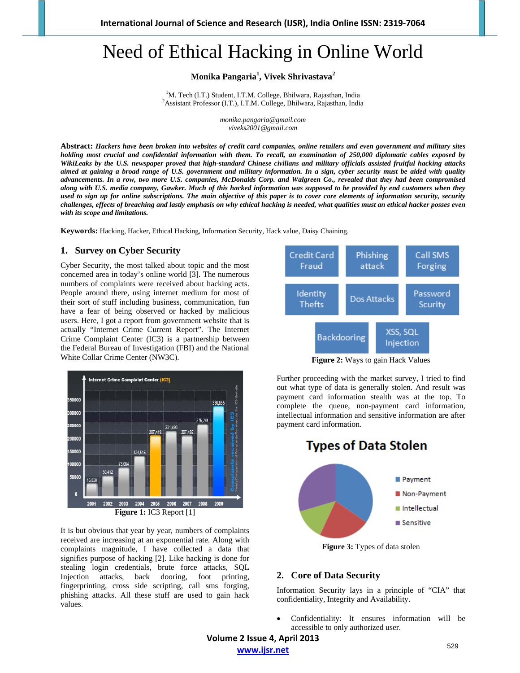# Need of Ethical Hacking in Online World

**Monika Pangaria<sup>1</sup> , Vivek Shrivastava<sup>2</sup>**

<sup>1</sup>M. Tech (I.T.) Student, I.T.M. College, Bhilwara, Rajasthan, India<br> $\frac{2}{3}A$ scistent Professor (J.T.), J.T.M. College, Bhilwara, Rajasthan, India Assistant Professor (I.T.), I.T.M. College, Bhilwara, Rajasthan, India

> *monika.pangaria@gmail.com viveks2001@gmail.com*

**Abstract:** *Hackers have been broken into websites of credit card companies, online retailers and even government and military sites holding most crucial and confidential information with them. To recall, an examination of 250,000 diplomatic cables exposed by WikiLeaks by the U.S. newspaper proved that high-standard Chinese civilians and military officials assisted fruitful hacking attacks aimed at gaining a broad range of U.S. government and military information. In a sign, cyber security must be aided with quality advancements. In a row, two more U.S. companies, McDonalds Corp. and Walgreen Co., revealed that they had been compromised along with U.S. media company, Gawker. Much of this hacked information was supposed to be provided by end customers when they*  used to sign up for online subscriptions. The main objective of this paper is to cover core elements of information security, security *challenges, effects of breaching and lastly emphasis on why ethical hacking is needed, what qualities must an ethical hacker posses even with its scope and limitations.* 

**Keywords:** Hacking, Hacker, Ethical Hacking, Information Security, Hack value, Daisy Chaining.

#### **1. Survey on Cyber Security**

Cyber Security, the most talked about topic and the most concerned area in today's online world [3]. The numerous numbers of complaints were received about hacking acts. People around there, using internet medium for most of their sort of stuff including business, communication, fun have a fear of being observed or hacked by malicious users. Here, I got a report from government website that is actually "Internet Crime Current Report". The Internet Crime Complaint Center (IC3) is a partnership between the Federal Bureau of Investigation (FBI) and the National White Collar Crime Center (NW3C).



It is but obvious that year by year, numbers of complaints received are increasing at an exponential rate. Along with complaints magnitude, I have collected a data that signifies purpose of hacking [2]. Like hacking is done for stealing login credentials, brute force attacks, SQL Injection attacks, back dooring, foot printing, fingerprinting, cross side scripting, call sms forging, phishing attacks. All these stuff are used to gain hack values.



**Figure 2:** Ways to gain Hack Values

Further proceeding with the market survey, I tried to find out what type of data is generally stolen. And result was payment card information stealth was at the top. To complete the queue, non-payment card information, intellectual information and sensitive information are after payment card information.



# **2. Core of Data Security**

Information Security lays in a principle of "CIA" that confidentiality, Integrity and Availability.

 Confidentiality: It ensures information will be accessible to only authorized user.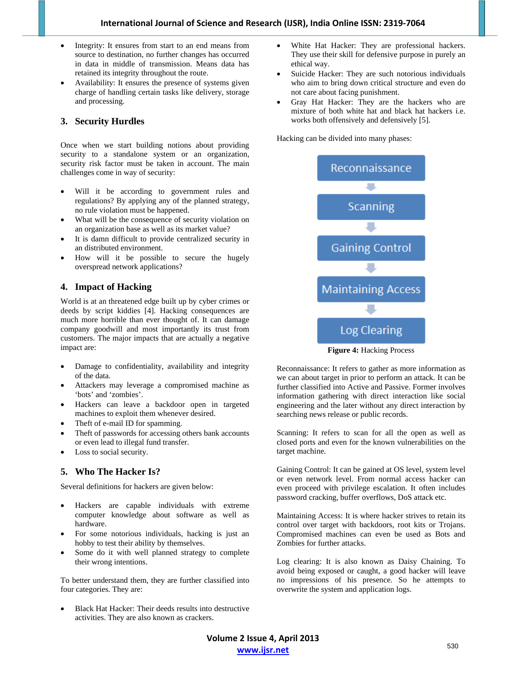- Integrity: It ensures from start to an end means from source to destination, no further changes has occurred in data in middle of transmission. Means data has retained its integrity throughout the route.
- Availability: It ensures the presence of systems given charge of handling certain tasks like delivery, storage and processing.

## **3. Security Hurdles**

Once when we start building notions about providing security to a standalone system or an organization, security risk factor must be taken in account. The main challenges come in way of security:

- Will it be according to government rules and regulations? By applying any of the planned strategy, no rule violation must be happened.
- What will be the consequence of security violation on an organization base as well as its market value?
- It is damn difficult to provide centralized security in an distributed environment.
- How will it be possible to secure the hugely overspread network applications?

# **4. Impact of Hacking**

World is at an threatened edge built up by cyber crimes or deeds by script kiddies [4]. Hacking consequences are much more horrible than ever thought of. It can damage company goodwill and most importantly its trust from customers. The major impacts that are actually a negative impact are:

- Damage to confidentiality, availability and integrity of the data.
- Attackers may leverage a compromised machine as 'bots' and 'zombies'.
- Hackers can leave a backdoor open in targeted machines to exploit them whenever desired.
- Theft of e-mail ID for spamming.
- Theft of passwords for accessing others bank accounts or even lead to illegal fund transfer.
- Loss to social security.

### **5. Who The Hacker Is?**

Several definitions for hackers are given below:

- Hackers are capable individuals with extreme computer knowledge about software as well as hardware.
- For some notorious individuals, hacking is just an hobby to test their ability by themselves.
- Some do it with well planned strategy to complete their wrong intentions.

To better understand them, they are further classified into four categories. They are:

 Black Hat Hacker: Their deeds results into destructive activities. They are also known as crackers.

- White Hat Hacker: They are professional hackers. They use their skill for defensive purpose in purely an ethical way.
- Suicide Hacker: They are such notorious individuals who aim to bring down critical structure and even do not care about facing punishment.
- Gray Hat Hacker: They are the hackers who are mixture of both white hat and black hat hackers i.e. works both offensively and defensively [5].

Hacking can be divided into many phases:



**Figure 4:** Hacking Process

Reconnaissance: It refers to gather as more information as we can about target in prior to perform an attack. It can be further classified into Active and Passive. Former involves information gathering with direct interaction like social engineering and the later without any direct interaction by searching news release or public records.

Scanning: It refers to scan for all the open as well as closed ports and even for the known vulnerabilities on the target machine.

Gaining Control: It can be gained at OS level, system level or even network level. From normal access hacker can even proceed with privilege escalation. It often includes password cracking, buffer overflows, DoS attack etc.

Maintaining Access: It is where hacker strives to retain its control over target with backdoors, root kits or Trojans. Compromised machines can even be used as Bots and Zombies for further attacks.

Log clearing: It is also known as Daisy Chaining. To avoid being exposed or caught, a good hacker will leave no impressions of his presence. So he attempts to overwrite the system and application logs.